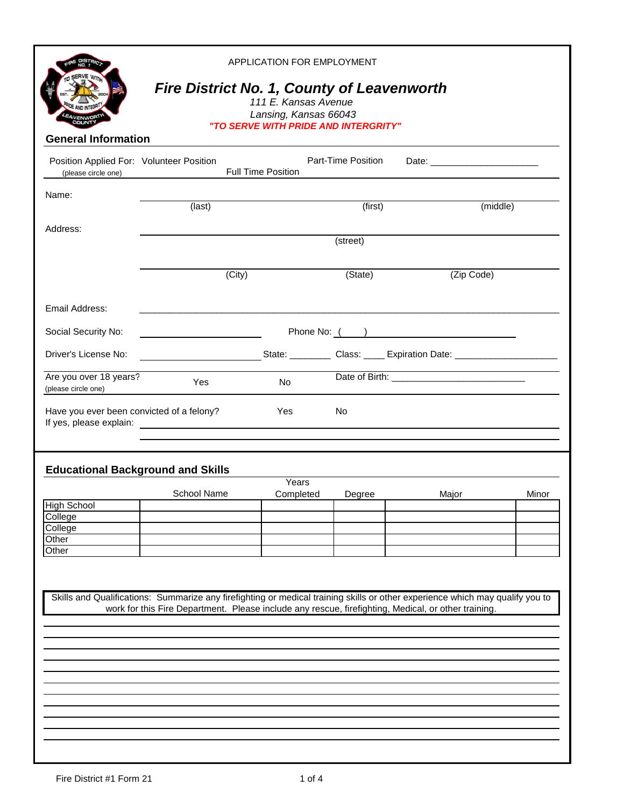| APPLICATION FOR EMPLOYMENT<br><b>Fire District No. 1, County of Leavenworth</b><br>111 E. Kansas Avenue<br>Lansing, Kansas 66043<br>"TO SERVE WITH PRIDE AND INTERGRITY"<br><b>General Information</b> |                                                                                                     |                           |                    |                                                                                                                               |       |  |  |
|--------------------------------------------------------------------------------------------------------------------------------------------------------------------------------------------------------|-----------------------------------------------------------------------------------------------------|---------------------------|--------------------|-------------------------------------------------------------------------------------------------------------------------------|-------|--|--|
| Position Applied For: Volunteer Position<br>(please circle one)                                                                                                                                        |                                                                                                     | <b>Full Time Position</b> | Part-Time Position |                                                                                                                               |       |  |  |
| Name:                                                                                                                                                                                                  | (last)                                                                                              |                           | (first)            | (middle)                                                                                                                      |       |  |  |
| Address:                                                                                                                                                                                               | (street)                                                                                            |                           |                    |                                                                                                                               |       |  |  |
|                                                                                                                                                                                                        | (City)                                                                                              |                           | (State)            | (Zip Code)                                                                                                                    |       |  |  |
| Email Address:                                                                                                                                                                                         |                                                                                                     |                           |                    |                                                                                                                               |       |  |  |
| Social Security No:                                                                                                                                                                                    |                                                                                                     |                           |                    | Phone No: ( )                                                                                                                 |       |  |  |
| Driver's License No:                                                                                                                                                                                   |                                                                                                     |                           |                    | State: ___________ Class: _____ Expiration Date: _______________________________                                              |       |  |  |
| Are you over 18 years?<br>(please circle one)                                                                                                                                                          | Yes                                                                                                 | No                        |                    | Date of Birth: 2000 and 2000 and 2000 and 2000 and 2000 and 2000 and 2000 and 2000 and 2000 and 200                           |       |  |  |
| Have you ever been convicted of a felony?                                                                                                                                                              |                                                                                                     | Yes                       | No.                |                                                                                                                               |       |  |  |
| <b>Educational Background and Skills</b>                                                                                                                                                               |                                                                                                     |                           |                    |                                                                                                                               |       |  |  |
|                                                                                                                                                                                                        | <b>School Name</b>                                                                                  | Years<br>Completed        | Degree             | Major                                                                                                                         | Minor |  |  |
| <b>High School</b>                                                                                                                                                                                     |                                                                                                     |                           |                    |                                                                                                                               |       |  |  |
| College                                                                                                                                                                                                |                                                                                                     |                           |                    |                                                                                                                               |       |  |  |
| College<br>Other                                                                                                                                                                                       |                                                                                                     |                           |                    |                                                                                                                               |       |  |  |
| Other                                                                                                                                                                                                  |                                                                                                     |                           |                    |                                                                                                                               |       |  |  |
|                                                                                                                                                                                                        | work for this Fire Department. Please include any rescue, firefighting, Medical, or other training. |                           |                    | Skills and Qualifications: Summarize any firefighting or medical training skills or other experience which may qualify you to |       |  |  |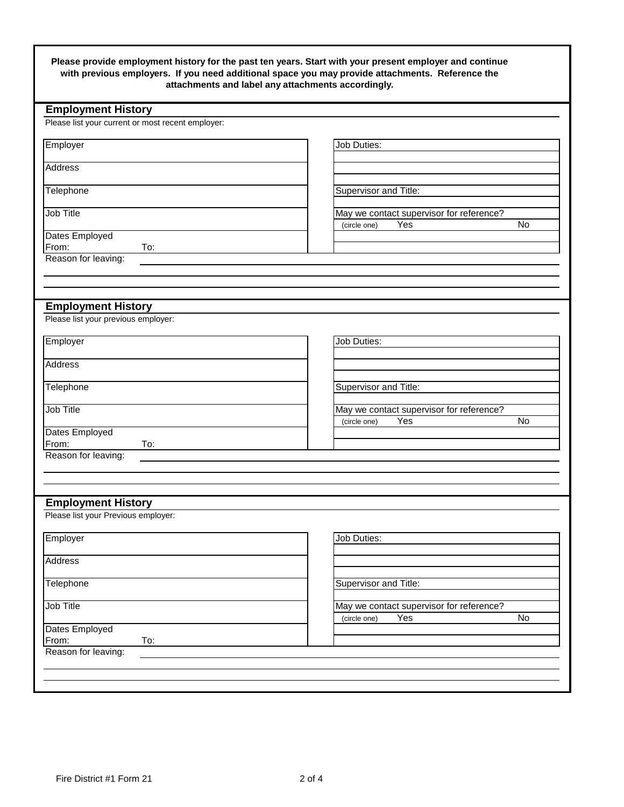| <b>Employment History</b><br>Please list your current or most recent employer: |                                                                       |
|--------------------------------------------------------------------------------|-----------------------------------------------------------------------|
| Employer                                                                       | Job Duties:                                                           |
|                                                                                |                                                                       |
| <b>Address</b>                                                                 |                                                                       |
| Telephone                                                                      | Supervisor and Title:                                                 |
| Job Title                                                                      | May we contact supervisor for reference?                              |
|                                                                                | Yes<br><b>No</b><br>(circle one)                                      |
| Dates Employed                                                                 |                                                                       |
| From:<br>To:<br>Reason for leaving:                                            |                                                                       |
|                                                                                |                                                                       |
|                                                                                |                                                                       |
| <b>Employment History</b>                                                      |                                                                       |
| Please list your previous employer:                                            |                                                                       |
|                                                                                |                                                                       |
| Employer                                                                       | Job Duties:                                                           |
| Address                                                                        |                                                                       |
|                                                                                |                                                                       |
| Telephone                                                                      | Supervisor and Title:                                                 |
| Job Title                                                                      |                                                                       |
|                                                                                | May we contact supervisor for reference?<br>No<br>Yes<br>(circle one) |
| Dates Employed                                                                 |                                                                       |
| From:<br>To:                                                                   |                                                                       |
| Reason for leaving:                                                            |                                                                       |
|                                                                                |                                                                       |
|                                                                                |                                                                       |
| <b>Employment History</b>                                                      |                                                                       |
| Please list your Previous employer:                                            |                                                                       |
| Employer                                                                       | Job Duties:                                                           |
|                                                                                |                                                                       |
|                                                                                |                                                                       |
| <b>Address</b>                                                                 |                                                                       |
|                                                                                |                                                                       |
| Telephone                                                                      | Supervisor and Title:                                                 |
|                                                                                | May we contact supervisor for reference?                              |
| Job Title<br>Dates Employed                                                    | Yes<br>No<br>(circle one)                                             |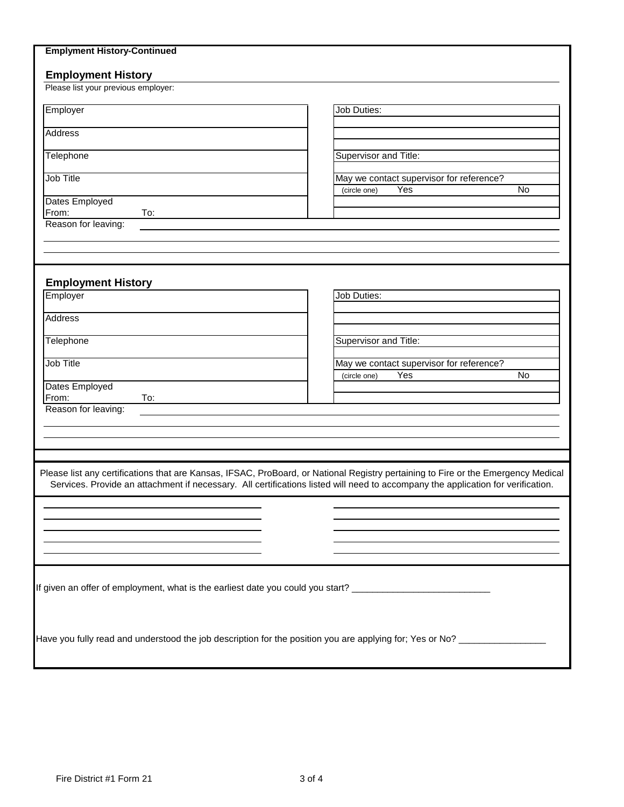| <b>Employment History</b>             |                                                                                                                                                                                                                                                                       |
|---------------------------------------|-----------------------------------------------------------------------------------------------------------------------------------------------------------------------------------------------------------------------------------------------------------------------|
| Please list your previous employer:   |                                                                                                                                                                                                                                                                       |
| Employer                              | <b>Job Duties:</b>                                                                                                                                                                                                                                                    |
| Address                               |                                                                                                                                                                                                                                                                       |
|                                       |                                                                                                                                                                                                                                                                       |
| Telephone                             | Supervisor and Title:                                                                                                                                                                                                                                                 |
| Job Title                             | May we contact supervisor for reference?<br>Yes<br>No<br>(circle one)                                                                                                                                                                                                 |
| Dates Employed<br>To:<br>From:        |                                                                                                                                                                                                                                                                       |
| Reason for leaving:                   |                                                                                                                                                                                                                                                                       |
|                                       |                                                                                                                                                                                                                                                                       |
|                                       |                                                                                                                                                                                                                                                                       |
|                                       |                                                                                                                                                                                                                                                                       |
| <b>Employment History</b><br>Employer | Job Duties:                                                                                                                                                                                                                                                           |
|                                       |                                                                                                                                                                                                                                                                       |
| <b>Address</b>                        |                                                                                                                                                                                                                                                                       |
| Telephone                             | Supervisor and Title:                                                                                                                                                                                                                                                 |
| Job Title                             | May we contact supervisor for reference?                                                                                                                                                                                                                              |
|                                       | Yes<br><b>No</b><br>(circle one)                                                                                                                                                                                                                                      |
| Dates Employed<br>From:<br>To:        |                                                                                                                                                                                                                                                                       |
| Reason for leaving:                   |                                                                                                                                                                                                                                                                       |
|                                       |                                                                                                                                                                                                                                                                       |
|                                       |                                                                                                                                                                                                                                                                       |
|                                       |                                                                                                                                                                                                                                                                       |
|                                       | Please list any certifications that are Kansas, IFSAC, ProBoard, or National Registry pertaining to Fire or the Emergency Medical<br>Services. Provide an attachment if necessary. All certifications listed will need to accompany the application for verification. |
|                                       |                                                                                                                                                                                                                                                                       |
|                                       |                                                                                                                                                                                                                                                                       |
|                                       |                                                                                                                                                                                                                                                                       |
|                                       |                                                                                                                                                                                                                                                                       |
|                                       |                                                                                                                                                                                                                                                                       |
|                                       | If given an offer of employment, what is the earliest date you could you start? ______________________________                                                                                                                                                        |
|                                       |                                                                                                                                                                                                                                                                       |
|                                       |                                                                                                                                                                                                                                                                       |
|                                       |                                                                                                                                                                                                                                                                       |